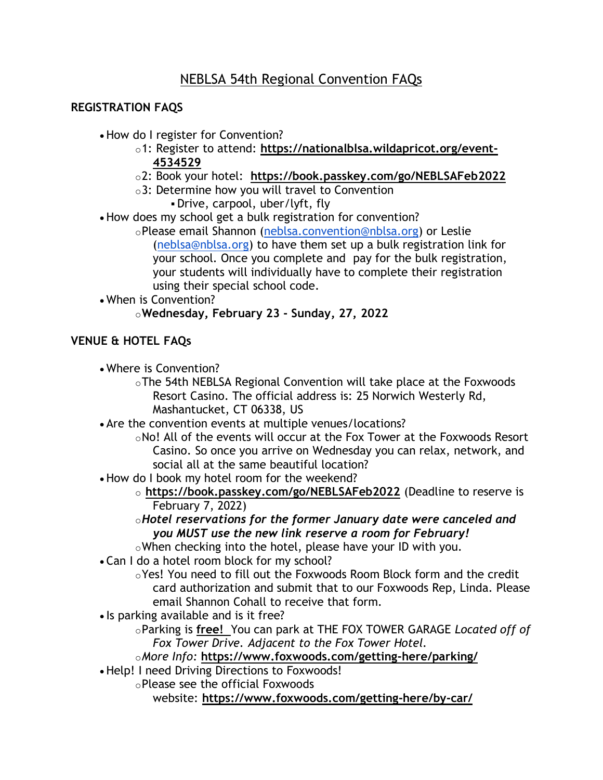# **REGISTRATION FAQS**

- How do I register for Convention?
	- o1: Register to attend: **[https://nationalblsa.wildapricot.org/event-](https://nationalblsa.wildapricot.org/event-4534529)[4534529](https://nationalblsa.wildapricot.org/event-4534529)**
	- o2: Book your hotel: **<https://book.passkey.com/go/NEBLSAFeb2022>**
	- o3: Determine how you will travel to Convention
		- Drive, carpool, uber/lyft, fly
- How does my school get a bulk registration for convention?
	- oPlease email Shannon [\(neblsa.convention@nblsa.org\)](mailto:neblsa.convention@nblsa.org) or Leslie [\(neblsa@nblsa.org\)](mailto:neblsa@nblsa.org) to have them set up a bulk registration link for your school. Once you complete and pay for the bulk registration, your students will individually have to complete their registration using their special school code.
- When is Convention?

## o**Wednesday, February 23 - Sunday, 27, 2022**

# **VENUE & HOTEL FAQs**

- Where is Convention?
	- oThe 54th NEBLSA Regional Convention will take place at the Foxwoods Resort Casino. The official address is: 25 Norwich Westerly Rd, Mashantucket, CT 06338, US
- Are the convention events at multiple venues/locations?
	- $\circ$ No! All of the events will occur at the Fox Tower at the Foxwoods Resort Casino. So once you arrive on Wednesday you can relax, network, and social all at the same beautiful location?
- How do I book my hotel room for the weekend?
	- o **<https://book.passkey.com/go/NEBLSAFeb2022>** (Deadline to reserve is February 7, 2022)
	- o*Hotel reservations for the former January date were canceled and you MUST use the new link reserve a room for February!*
	- oWhen checking into the hotel, please have your ID with you.
- Can I do a hotel room block for my school?
	- oYes! You need to fill out the Foxwoods Room Block form and the credit card authorization and submit that to our Foxwoods Rep, Linda. Please email Shannon Cohall to receive that form.
- Is parking available and is it free?
	- oParking is **free!** You can park at THE FOX TOWER GARAGE *Located off of Fox Tower Drive. Adjacent to the Fox Tower Hotel.*

o*More Info:* **<https://www.foxwoods.com/getting-here/parking/>**

• Help! I need Driving Directions to Foxwoods!

oPlease see the official Foxwoods

website: **<https://www.foxwoods.com/getting-here/by-car/>**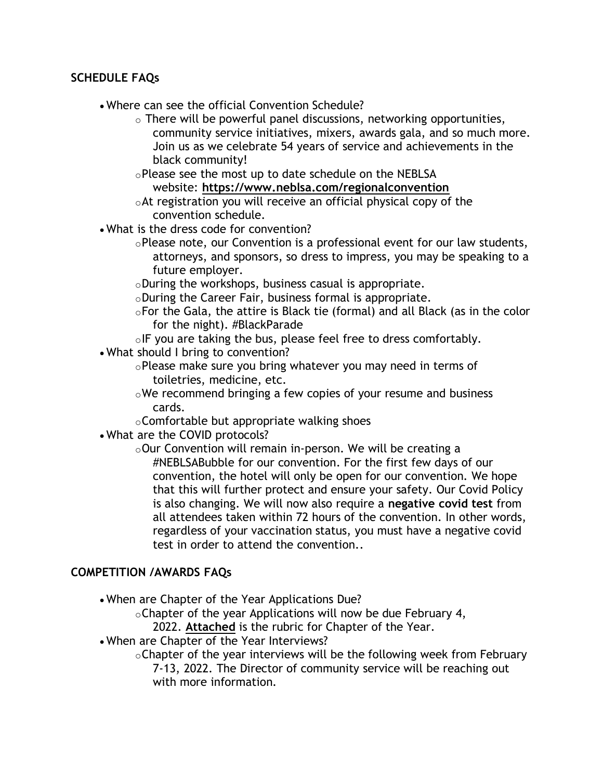### **SCHEDULE FAQs**

- Where can see the official Convention Schedule?
	- o There will be powerful panel discussions, networking opportunities, community service initiatives, mixers, awards gala, and so much more. Join us as we celebrate 54 years of service and achievements in the black community!
	- oPlease see the most up to date schedule on the NEBLSA website: **<https://www.neblsa.com/regionalconvention>**
	- oAt registration you will receive an official physical copy of the convention schedule.
- What is the dress code for convention?
	- $\circ$ Please note, our Convention is a professional event for our law students, attorneys, and sponsors, so dress to impress, you may be speaking to a future employer.
	- oDuring the workshops, business casual is appropriate.
	- $\circ$ During the Career Fair, business formal is appropriate.
	- oFor the Gala, the attire is Black tie (formal) and all Black (as in the color for the night). #BlackParade
	- $\circ$ IF you are taking the bus, please feel free to dress comfortably.
- What should I bring to convention?
	- oPlease make sure you bring whatever you may need in terms of toiletries, medicine, etc.
	- oWe recommend bringing a few copies of your resume and business cards.
	- $\circ$ Comfortable but appropriate walking shoes
- What are the COVID protocols?
	- oOur Convention will remain in-person. We will be creating a #NEBLSABubble for our convention. For the first few days of our convention, the hotel will only be open for our convention. We hope that this will further protect and ensure your safety. Our Covid Policy is also changing. We will now also require a **negative covid test** from all attendees taken within 72 hours of the convention. In other words, regardless of your vaccination status, you must have a negative covid test in order to attend the convention..

#### **COMPETITION /AWARDS FAQs**

• When are Chapter of the Year Applications Due?

 $\circ$ Chapter of the year Applications will now be due February 4,

2022. **[Attached](https://docs.google.com/forms/d/e/1FAIpQLScSBWVQbc2KCrK9oAelnwsG4IvmUq0mQBmlEebh4kxokW0bDg/viewform)** is the rubric for Chapter of the Year.

• When are Chapter of the Year Interviews?

 $\circ$ Chapter of the year interviews will be the following week from February 7-13, 2022. The Director of community service will be reaching out with more information.